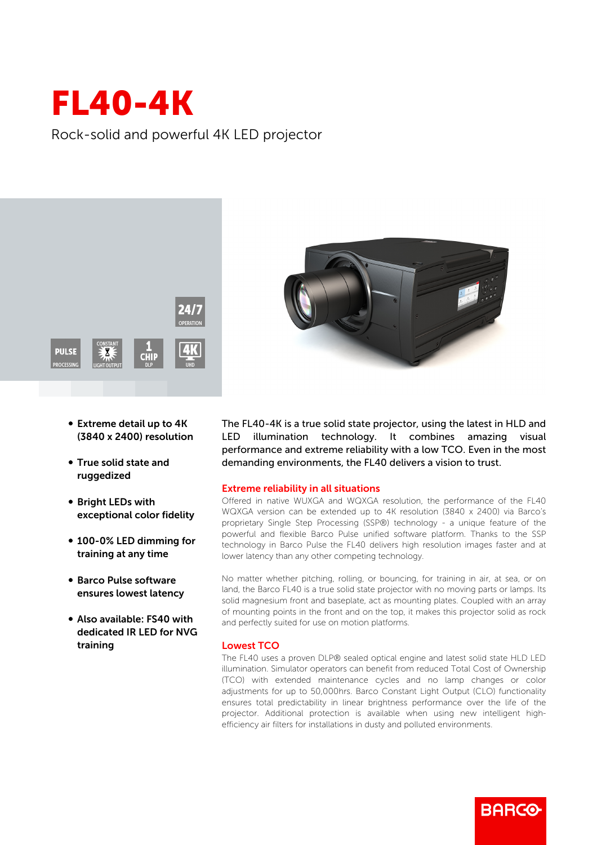## FL40-4K

Rock-solid and powerful 4K LED projector



- Extreme detail up to 4K (3840 x 2400) resolution
- True solid state and ruggedized
- **Bright LEDs with** exceptional color fidelity
- 100-0% LED dimming for training at any time
- **Barco Pulse software** ensures lowest latency
- Also available: FS40 with dedicated IR LED for NVG training



The FL40-4K is a true solid state projector, using the latest in HLD and LED illumination technology. It combines amazing visual performance and extreme reliability with a low TCO. Even in the most demanding environments, the FL40 delivers a vision to trust.

## Extreme reliability in all situations

Offered in native WUXGA and WQXGA resolution, the performance of the FL40 WQXGA version can be extended up to 4K resolution (3840 x 2400) via Barco's proprietary Single Step Processing (SSP®) technology - a unique feature of the powerful and flexible Barco Pulse unified software platform. Thanks to the SSP technology in Barco Pulse the FL40 delivers high resolution images faster and at lower latency than any other competing technology.

No matter whether pitching, rolling, or bouncing, for training in air, at sea, or on land, the Barco FL40 is a true solid state projector with no moving parts or lamps. Its solid magnesium front and baseplate, act as mounting plates. Coupled with an array of mounting points in the front and on the top, it makes this projector solid as rock and perfectly suited for use on motion platforms.

## Lowest TCO

The FL40 uses a proven DLP® sealed optical engine and latest solid state HLD LED illumination. Simulator operators can benefit from reduced Total Cost of Ownership (TCO) with extended maintenance cycles and no lamp changes or color adjustments for up to 50,000hrs. Barco Constant Light Output (CLO) functionality ensures total predictability in linear brightness performance over the life of the projector. Additional protection is available when using new intelligent highefficiency air filters for installations in dusty and polluted environments.

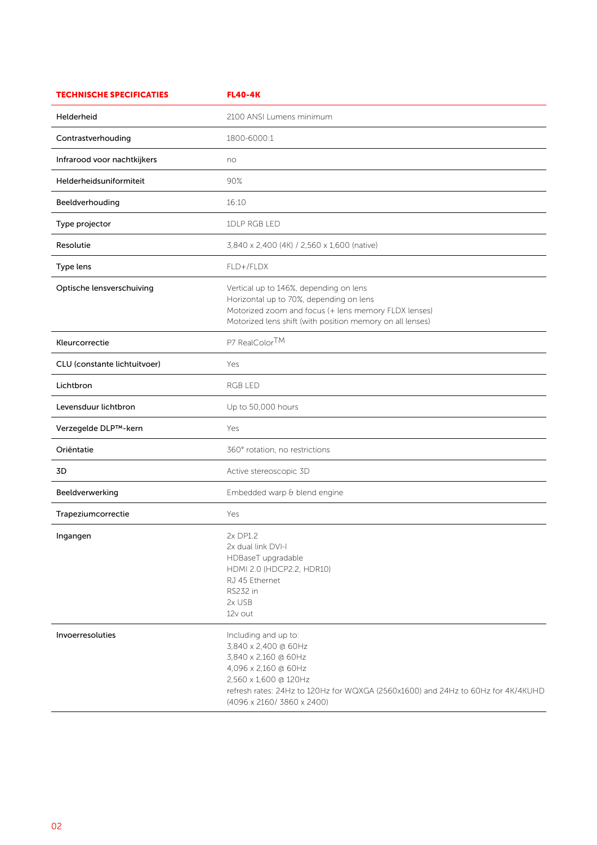| <b>TECHNISCHE SPECIFICATIES</b> | <b>FL40-4K</b>                                                                                                                                                                                                                          |
|---------------------------------|-----------------------------------------------------------------------------------------------------------------------------------------------------------------------------------------------------------------------------------------|
| Helderheid                      | 2100 ANSI Lumens minimum                                                                                                                                                                                                                |
| Contrastverhouding              | 1800-6000:1                                                                                                                                                                                                                             |
| Infrarood voor nachtkijkers     | no                                                                                                                                                                                                                                      |
| Helderheidsuniformiteit         | 90%                                                                                                                                                                                                                                     |
| Beeldverhouding                 | 16:10                                                                                                                                                                                                                                   |
| Type projector                  | 1DLP RGB LED                                                                                                                                                                                                                            |
| Resolutie                       | 3,840 x 2,400 (4K) / 2,560 x 1,600 (native)                                                                                                                                                                                             |
| Type lens                       | FLD+/FLDX                                                                                                                                                                                                                               |
| Optische lensverschuiving       | Vertical up to 146%, depending on lens<br>Horizontal up to 70%, depending on lens<br>Motorized zoom and focus (+ lens memory FLDX lenses)<br>Motorized lens shift (with position memory on all lenses)                                  |
| Kleurcorrectie                  | P7 RealColorTM                                                                                                                                                                                                                          |
| CLU (constante lichtuitvoer)    | Yes                                                                                                                                                                                                                                     |
| Lichtbron                       | RGB LED                                                                                                                                                                                                                                 |
| Levensduur lichtbron            | Up to 50,000 hours                                                                                                                                                                                                                      |
| Verzegelde DLP™-kern            | Yes                                                                                                                                                                                                                                     |
| Oriëntatie                      | 360° rotation, no restrictions                                                                                                                                                                                                          |
| 3D                              | Active stereoscopic 3D                                                                                                                                                                                                                  |
| Beeldverwerking                 | Embedded warp & blend engine                                                                                                                                                                                                            |
| Trapeziumcorrectie              | Yes                                                                                                                                                                                                                                     |
| Ingangen                        | 2x DP1.2<br>2x dual link DVI-I<br>HDBaseT upgradable<br>HDMI 2.0 (HDCP2.2, HDR10)<br>RJ 45 Ethernet<br>RS232 in<br>2x USB<br>12v out                                                                                                    |
| Invoerresoluties                | Including and up to:<br>3,840 x 2,400 @ 60Hz<br>3,840 x 2,160 @ 60Hz<br>4,096 x 2,160 @ 60Hz<br>2,560 x 1,600 @ 120Hz<br>refresh rates: 24Hz to 120Hz for WQXGA (2560x1600) and 24Hz to 60Hz for 4K/4KUHD<br>(4096 x 2160/ 3860 x 2400) |